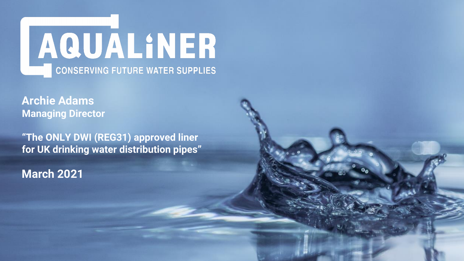

**Archie Adams Managing Director**

**"The ONLY DWI (REG31) approved liner for UK drinking water distribution pipes"** 

**March 2021**

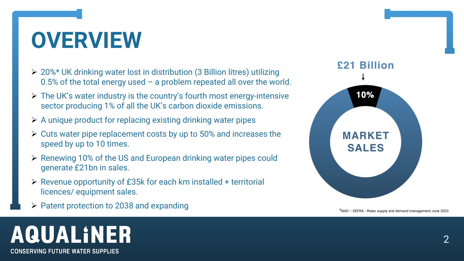### **OVERVIEW**

- ➢ 20%\* UK drinking water lost in distribution (3 Billion litres) utilizing 0.5% of the total energy used – a problem repeated all over the world.
- ➢ The UK's water industry is the country's fourth most energy-intensive sector producing 1% of all the UK's carbon dioxide emissions.
- ➢ A unique product for replacing existing drinking water pipes
- ➢ Cuts water pipe replacement costs by up to 50% and increases the speed by up to 10 times.
- ➢ Renewing 10% of the US and European drinking water pipes could generate £21bn in sales.
- ➢ Revenue opportunity of £35k for each km installed + territorial licences/ equipment sales.
- ➢ Patent protection to 2038 and expanding \*NAO DEFRA Water supply and demand management June 2020

# AQUALINER

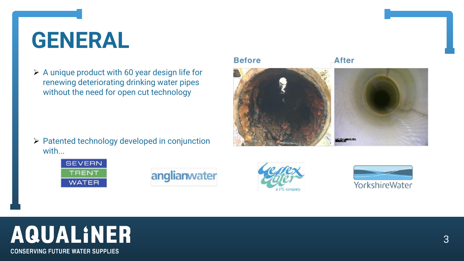

### **GENERAL**

➢ A unique product with 60 year design life for renewing deteriorating drinking water pipes without the need for open cut technology

➢ Patented technology developed in conjunction

#### **Before**





### anglianwater



## **AQUALINER**

**CONSERVING FUTURE WATER SUPPLIES** 

with...

#### **After**

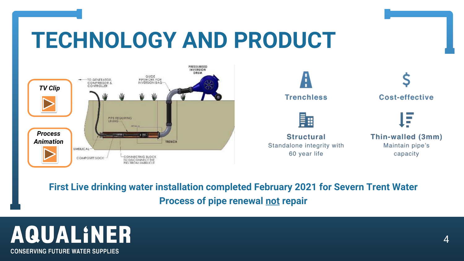### **TECHNOLOGY AND PRODUCT**

### **First Live drinking water installation completed February 2021 for Severn Trent Water Process of pipe renewal not repair**

## AQUALINER

**CONSERVING FUTURE WATER SUPPLIES** 



#### Thin-walled (3mm) Maintain pipe's capacity

**COL** 

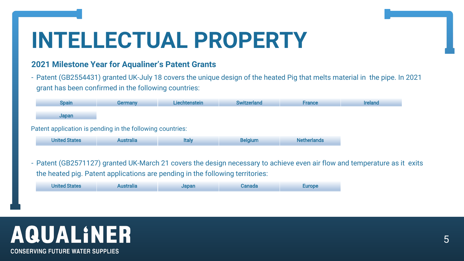#### **2021 Milestone Year for Aqualiner's Patent Grants**

- Patent (GB2554431) granted UK-July 18 covers the unique design of the heated Pig that melts material in the pipe. In 2021 grant has been confirmed in the following countries:



## **AQUALINER**

**CONSERVING FUTURE WATER SUPPLIES** 

### **INTELLECTUAL PROPERTY**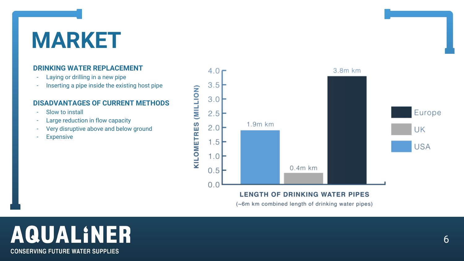### **MARKET**

#### **DRINKING WATER REPLACEMENT**

- Laying or drilling in a new pipe
- Inserting a pipe inside the existing host pipe

#### **DISADVANTAGES OF CURRENT METHODS**

- Slow to install
- Large reduction in flow capacity
- Very disruptive above and below ground
- **Expensive**



#### **LENGTH OF DRINKING WATER PIPES**

(~6m km combined length of drinking water pipes)

## AQUALINER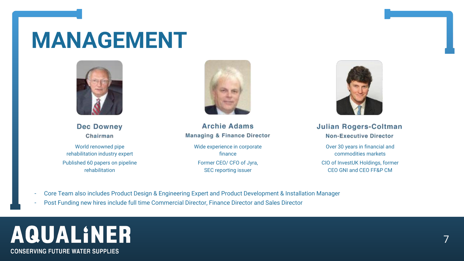

### **MANAGEMENT**



**Dec Downey** Chairman

- Core Team also includes Product Design & Engineering Expert and Product Development & Installation Manager
- Post Funding new hires include full time Commercial Director, Finance Director and Sales Director

## AQUALINER

**CONSERVING FUTURE WATER SUPPLIES** 



#### ulian Rogers-Coltman **Non-Executive Director**

World renowned pipe rehabilitation industry expert Published 60 papers on pipeline rehabilitation



| <b>Archie Adams</b>                                     |  |
|---------------------------------------------------------|--|
| <b>Managing &amp; Finance Director</b>                  |  |
| Wide experience in corporate<br>finance                 |  |
| Former CEO/ CFO of Jyra,<br><b>SEC reporting issuer</b> |  |

Over 30 years in financial and commodities markets

CIO of InvestUK Holdings, former CEO GNI and CEO FF&P CM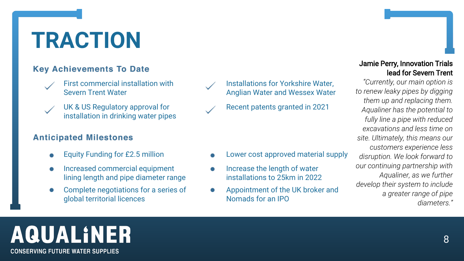### **TRACTION**

### **Key Achievements To Date**

First commercial installation with Severn Trent Water



UK & US Regulatory approval for installation in drinking water pipes

### **Anticipated Milestones**

Installations for Yorkshire Water, Anglian Water and Wessex Water

Recent patents granted in 2021

- Equity Funding for £2.5 million **Come Constant Constant Constant Constant Constant Constant Constant Constant** 
	- Increase the length of water installations to 25km in 2022
	- Appointment of the UK broker and Nomads for an IPO

# **AQUALINER**

**CONSERVING FUTURE WATER SUPPLIES** 

- 
- Increased commercial equipment lining length and pipe diameter range
- Complete negotiations for a series of global territorial licences



#### Jamie Perry, Innovation Trials lead for Severn Trent

*"Currently, our main option is to renew leaky pipes by digging them up and replacing them. Aqualiner has the potential to fully line a pipe with reduced excavations and less time on site. Ultimately, this means our customers experience less disruption. We look forward to our continuing partnership with Aqualiner, as we further develop their system to include a greater range of pipe diameters."*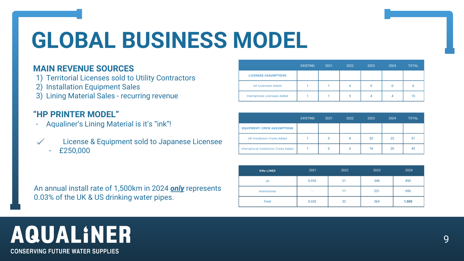## **GLOBAL BUSINESS MODEL**

### **MAIN REVENUE SOURCES**

- 1) Territorial Licenses sold to Utility Contractors
- 2) Installation Equipment Sales
- 3) Lining Material Sales recurring revenue

- Aqualiner's Lining Material is it's "ink"!
	- License & Equipment sold to Japanese Licensee
	- £250,000

### **"HP PRINTER MODEL"**

|                                      | <b>EXISTING</b> | 2021 | 2022 | 2023 | 2024 | <b>TOTAL</b> |
|--------------------------------------|-----------------|------|------|------|------|--------------|
| <b>LICENSEE ASSUMPTIONS</b>          |                 |      |      |      |      |              |
| <b>UK Licensees Added</b>            |                 |      | 4    |      | 0    |              |
| <b>International Licensees Added</b> |                 |      |      |      | 4    | 15           |

|                                               | <b>EXISTING</b> | 2021 | 2022 | 2023 | 2024 | <b>TOTAL</b> |
|-----------------------------------------------|-----------------|------|------|------|------|--------------|
| <b>EQUIPMENT/ CREW ASSUMPTIONS</b>            |                 |      |      |      |      |              |
| <b>UK Installation Crews Added</b>            |                 | 0    | 8    | 20   | 22   | 51           |
| <b>International Installation Crews Added</b> |                 | 0    |      | 18   | 20   | 45           |

| <b>KMs LINED</b> | 2021                     | 2022 | 2023 | 2024  |
|------------------|--------------------------|------|------|-------|
| UK               | 0.035                    | 21   | 348  | 850   |
| International    | $\overline{\phantom{a}}$ | 11   | 221  | 650   |
| <b>Total</b>     | 0.035                    | 32   | 569  | 1,500 |

### AQUALINER

**CONSERVING FUTURE WATER SUPPLIES** 

An annual install rate of 1,500km in 2024 *only* represents 0.03% of the UK & US drinking water pipes.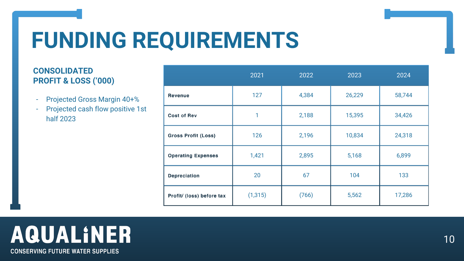### **FUNDING REQUIREMENTS**

### **CONSOLIDATED PROFIT & LOSS ('000)**

- Projected Gross Margin 40+%
- Projected cash flow positive 1st half 2023

|                            | 2021     | 2022  | 2023   | 2024   |
|----------------------------|----------|-------|--------|--------|
| <b>Revenue</b>             | 127      | 4,384 | 26,229 | 58,744 |
| <b>Cost of Rev</b>         | 1        | 2,188 | 15,395 | 34,426 |
| <b>Gross Profit (Loss)</b> | 126      | 2,196 | 10,834 | 24,318 |
| <b>Operating Expenses</b>  | 1,421    | 2,895 | 5,168  | 6,899  |
| <b>Depreciation</b>        | 20       | 67    | 104    | 133    |
| Profit/ (loss) before tax  | (1, 315) | (766) | 5,562  | 17,286 |

### AQUALINER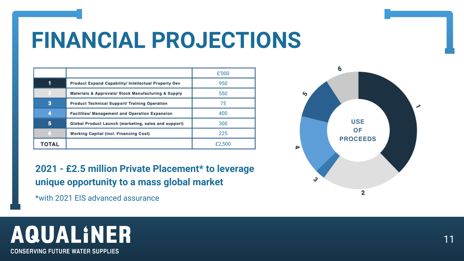### **FINANCIAL PROJECTIONS**

**2021 - £2.5 million Private Placement\* to leverage unique opportunity to a mass global market**

\*with 2021 EIS advanced assurance

### AQUALINER

**CONSERVING FUTURE WATER SUPPLIES** 

∍

∕օ



|       |                                                       | £'000  |
|-------|-------------------------------------------------------|--------|
| 1     | Product Expand Capability/ Intellectual Property Dev  | 950    |
|       | Materials & Approvals/ Stock Manufacturing & Supply   | 550    |
| 3     | Product Technical Support/ Training Operation         | 75     |
| 4     | <b>Facilities/ Management and Operation Expansion</b> | 400    |
| 5     | Global Product Launch (marketing, sales and support)  | 300    |
| 6     | <b>Working Capital (incl. Financing Cost)</b>         | 225    |
| TOTAL |                                                       | £2,500 |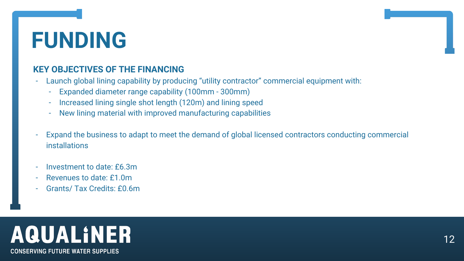### **FUNDING**

### **KEY OBJECTIVES OF THE FINANCING**

- Launch global lining capability by producing "utility contractor" commercial equipment with:
	- Expanded diameter range capability (100mm 300mm)
	- Increased lining single shot length (120m) and lining speed
	- New lining material with improved manufacturing capabilities
- Expand the business to adapt to meet the demand of global licensed contractors conducting commercial installations
- Investment to date: £6.3m
- Revenues to date: £1.0m
- Grants/ Tax Credits: £0.6m

# AQUALINER